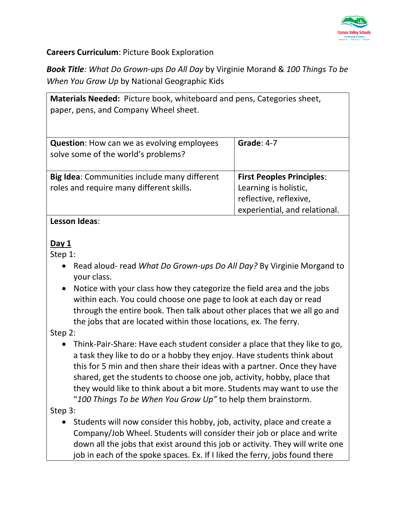

**Careers Curriculum**: Picture Book Exploration

*Book Title: What Do Grown-ups Do All Day* by Virginie Morand & *100 Things To be When You Grow Up* by National Geographic Kids

| Materials Needed: Picture book, whiteboard and pens, Categories sheet,<br>paper, pens, and Company Wheel sheet. |                                                                                                                      |
|-----------------------------------------------------------------------------------------------------------------|----------------------------------------------------------------------------------------------------------------------|
| <b>Question:</b> How can we as evolving employees<br>solve some of the world's problems?                        | Grade: $4-7$                                                                                                         |
| <b>Big Idea:</b> Communities include many different<br>roles and require many different skills.                 | <b>First Peoples Principles:</b><br>Learning is holistic,<br>reflective, reflexive,<br>experiential, and relational. |

### **Lesson Ideas**:

#### **Day 1**

Step 1:

- Read aloud- read *What Do Grown-ups Do All Day?* By Virginie Morgand to your class.
- Notice with your class how they categorize the field area and the jobs within each. You could choose one page to look at each day or read through the entire book. Then talk about other places that we all go and the jobs that are located within those locations, ex. The ferry.

Step 2:

• Think-Pair-Share: Have each student consider a place that they like to go, a task they like to do or a hobby they enjoy. Have students think about this for 5 min and then share their ideas with a partner. Once they have shared, get the students to choose one job, activity, hobby, place that they would like to think about a bit more. Students may want to use the "*100 Things To be When You Grow Up"* to help them brainstorm.

Step 3:

• Students will now consider this hobby, job, activity, place and create a Company/Job Wheel. Students will consider their job or place and write down all the jobs that exist around this job or activity. They will write one job in each of the spoke spaces. Ex. If I liked the ferry, jobs found there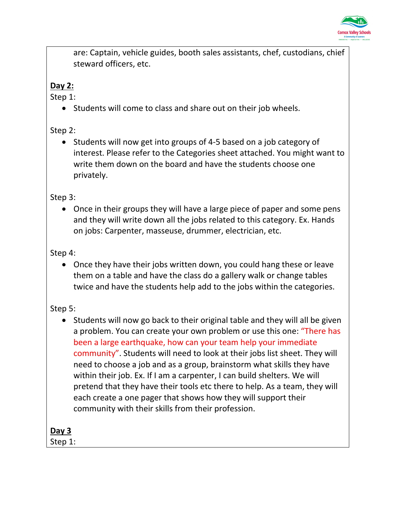

are: Captain, vehicle guides, booth sales assistants, chef, custodians, chief steward officers, etc.

### **Day 2:**

Step 1:

• Students will come to class and share out on their job wheels.

Step 2:

• Students will now get into groups of 4-5 based on a job category of interest. Please refer to the Categories sheet attached. You might want to write them down on the board and have the students choose one privately.

Step 3:

• Once in their groups they will have a large piece of paper and some pens and they will write down all the jobs related to this category. Ex. Hands on jobs: Carpenter, masseuse, drummer, electrician, etc.

### Step 4:

• Once they have their jobs written down, you could hang these or leave them on a table and have the class do a gallery walk or change tables twice and have the students help add to the jobs within the categories.

Step 5:

• Students will now go back to their original table and they will all be given a problem. You can create your own problem or use this one: "There has been a large earthquake, how can your team help your immediate community". Students will need to look at their jobs list sheet. They will need to choose a job and as a group, brainstorm what skills they have within their job. Ex. If I am a carpenter, I can build shelters. We will pretend that they have their tools etc there to help. As a team, they will each create a one pager that shows how they will support their community with their skills from their profession.

**Day 3** 

Step 1: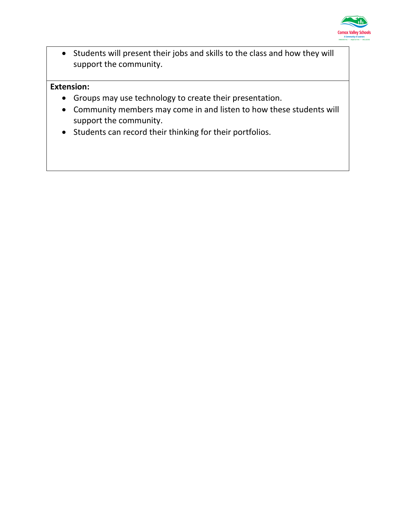

• Students will present their jobs and skills to the class and how they will support the community.

### **Extension:**

- Groups may use technology to create their presentation.
- Community members may come in and listen to how these students will support the community.
- Students can record their thinking for their portfolios.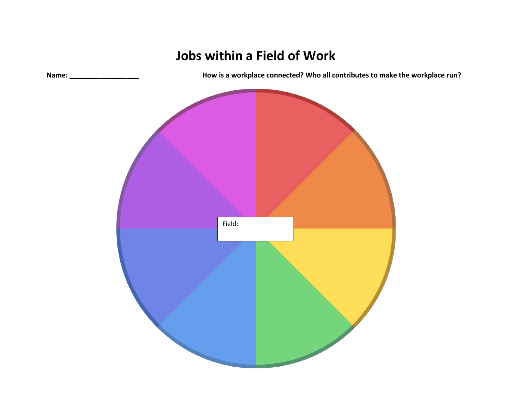## **Jobs within a Field of Work**

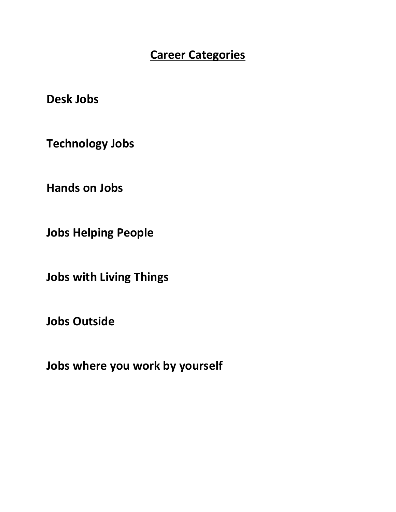### **Career Categories**

**Desk Jobs**

**Technology Jobs**

**Hands on Jobs**

**Jobs Helping People**

**Jobs with Living Things**

**Jobs Outside**

**Jobs where you work by yourself**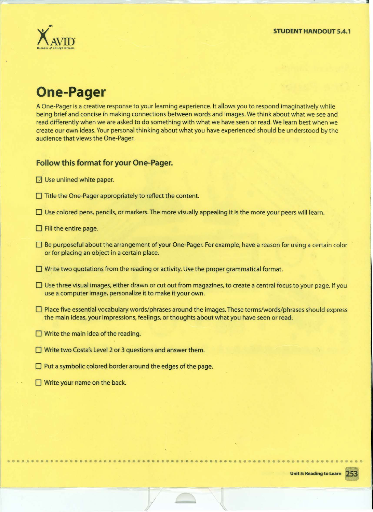

## **One-Pager**

A One-Pager is a creative response to your learning experience. It allows you to respond imaginatively while being brief and concise in making connections between words and images. We think about what we see and read differently when we are asked to do something with what we have seen or read. We learn best when we create our own ideas. Your personal thinking about what you have experienced should be understood by the audience that views the One-Pager.

#### **Follow this format for your One-Pager.**

- $\Box$  Use unlined white paper.
- $\Box$  Title the One-Pager appropriately to reflect the content.
- $\square$  Use colored pens, pencils, or markers. The more visually appealing it is the more your peers will learn.
- $\Box$  Fill the entire page.
- D Be purposeful about the arrangement of your One-Pager. For example, have a reason for using a certain color or for placing an object in a certain place.
- $\Box$  Write two quotations from the reading or activity. Use the proper grammatical format.
- $\Box$  Use three visual images, either drawn or cut out from magazines, to create a central focus to your page. If you use a computer image, personalize it to make it your own.
- $\square$  Place five essential vocabulary words/phrases around the images. These terms/words/phrases should express the main ideas, your impressions, feelings, or thoughts about what you have seen or read.
- $\Box$  Write the main idea of the reading.
- $\Box$  Write two Costa's Level 2 or 3 questions and answer them.
- $\Box$  Put a symbolic colored border around the edges of the page.
- $\Box$  Write your name on the back.